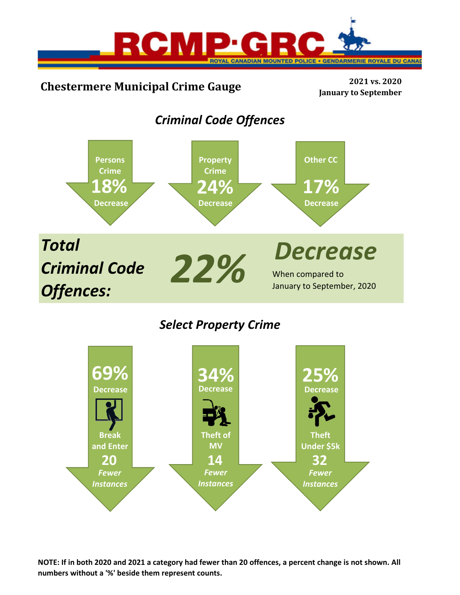

# **Chestermere Municipal Crime Gauge <sup>2021</sup> vs. <sup>2020</sup>**

**January to September**

## *Criminal Code Offences*



## *Select Property Crime*



NOTE: If in both 2020 and 2021 a category had fewer than 20 offences, a percent change is not shown. All **numbers without a '%' beside them represent counts.**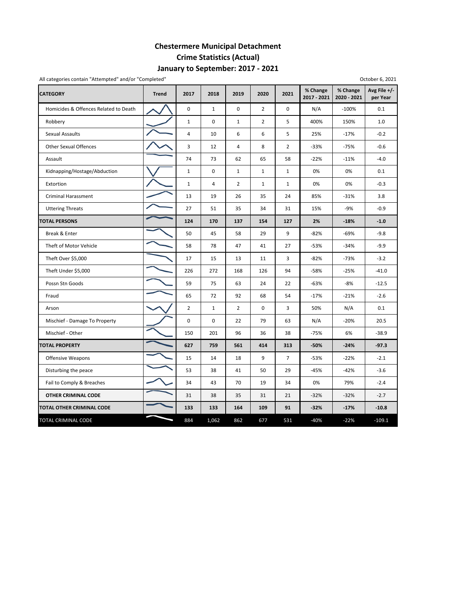## **January to September: 2017 ‐ 2021 Chestermere Municipal Detachment Crime Statistics (Actual)**

| All categories contain "Attempted" and/or "Completed" |              |                |                |                |                |                |                         |                         | October 6, 2021          |
|-------------------------------------------------------|--------------|----------------|----------------|----------------|----------------|----------------|-------------------------|-------------------------|--------------------------|
| <b>CATEGORY</b>                                       | <b>Trend</b> | 2017           | 2018           | 2019           | 2020           | 2021           | % Change<br>2017 - 2021 | % Change<br>2020 - 2021 | Avg File +/-<br>per Year |
| Homicides & Offences Related to Death                 |              | $\pmb{0}$      | $\mathbf{1}$   | 0              | $\overline{2}$ | 0              | N/A                     | $-100%$                 | 0.1                      |
| Robbery                                               |              | $\mathbf{1}$   | $\mathbf 0$    | $\mathbf 1$    | $\overline{2}$ | 5              | 400%                    | 150%                    | 1.0                      |
| Sexual Assaults                                       |              | 4              | 10             | 6              | 6              | 5              | 25%                     | $-17%$                  | $-0.2$                   |
| <b>Other Sexual Offences</b>                          |              | 3              | 12             | 4              | 8              | $\overline{2}$ | $-33%$                  | $-75%$                  | $-0.6$                   |
| Assault                                               |              | 74             | 73             | 62             | 65             | 58             | $-22%$                  | $-11%$                  | $-4.0$                   |
| Kidnapping/Hostage/Abduction                          |              | $\mathbf{1}$   | 0              | $\mathbf{1}$   | $\mathbf{1}$   | $\mathbf{1}$   | 0%                      | 0%                      | 0.1                      |
| Extortion                                             |              | $\mathbf{1}$   | $\overline{4}$ | $\overline{2}$ | $\mathbf{1}$   | $\mathbf{1}$   | 0%                      | 0%                      | $-0.3$                   |
| <b>Criminal Harassment</b>                            |              | 13             | 19             | 26             | 35             | 24             | 85%                     | $-31%$                  | 3.8                      |
| <b>Uttering Threats</b>                               |              | 27             | 51             | 35             | 34             | 31             | 15%                     | -9%                     | $-0.9$                   |
| <b>TOTAL PERSONS</b>                                  |              | 124            | 170            | 137            | 154            | 127            | 2%                      | $-18%$                  | $-1.0$                   |
| Break & Enter                                         |              | 50             | 45             | 58             | 29             | 9              | $-82%$                  | $-69%$                  | $-9.8$                   |
| Theft of Motor Vehicle                                |              | 58             | 78             | 47             | 41             | 27             | $-53%$                  | $-34%$                  | $-9.9$                   |
| Theft Over \$5,000                                    |              | 17             | 15             | 13             | 11             | 3              | $-82%$                  | $-73%$                  | $-3.2$                   |
| Theft Under \$5,000                                   |              | 226            | 272            | 168            | 126            | 94             | $-58%$                  | $-25%$                  | $-41.0$                  |
| Possn Stn Goods                                       |              | 59             | 75             | 63             | 24             | 22             | $-63%$                  | $-8%$                   | $-12.5$                  |
| Fraud                                                 |              | 65             | 72             | 92             | 68             | 54             | $-17%$                  | $-21%$                  | $-2.6$                   |
| Arson                                                 |              | $\overline{2}$ | $\mathbf{1}$   | $\overline{2}$ | 0              | 3              | 50%                     | N/A                     | 0.1                      |
| Mischief - Damage To Property                         |              | $\mathbf 0$    | $\mathbf 0$    | 22             | 79             | 63             | N/A                     | $-20%$                  | 20.5                     |
| Mischief - Other                                      |              | 150            | 201            | 96             | 36             | 38             | $-75%$                  | 6%                      | $-38.9$                  |
| <b>TOTAL PROPERTY</b>                                 |              | 627            | 759            | 561            | 414            | 313            | $-50%$                  | $-24%$                  | $-97.3$                  |
| <b>Offensive Weapons</b>                              |              | 15             | 14             | 18             | 9              | $\overline{7}$ | $-53%$                  | $-22%$                  | $-2.1$                   |
| Disturbing the peace                                  |              | 53             | 38             | 41             | 50             | 29             | $-45%$                  | $-42%$                  | $-3.6$                   |
| Fail to Comply & Breaches                             |              | 34             | 43             | 70             | 19             | 34             | 0%                      | 79%                     | $-2.4$                   |
| OTHER CRIMINAL CODE                                   |              | 31             | 38             | 35             | 31             | 21             | $-32%$                  | $-32%$                  | $-2.7$                   |
| TOTAL OTHER CRIMINAL CODE                             |              | 133            | 133            | 164            | 109            | 91             | $-32%$                  | $-17%$                  | $-10.8$                  |
| TOTAL CRIMINAL CODE                                   |              | 884            | 1,062          | 862            | 677            | 531            | $-40%$                  | $-22%$                  | $-109.1$                 |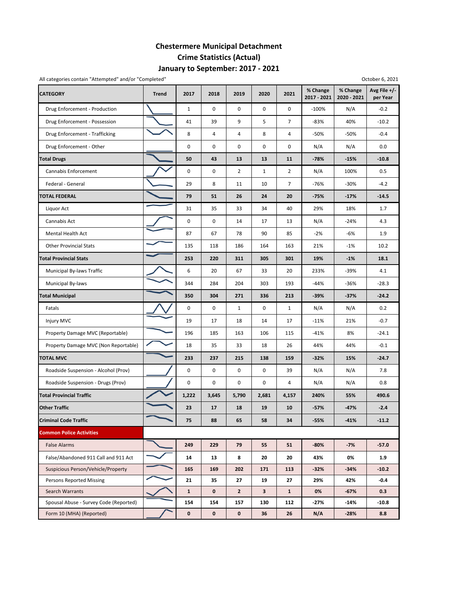## **January to September: 2017 ‐ 2021 Chestermere Municipal Detachment Crime Statistics (Actual)**

|                                        | All categories contain "Attempted" and/or "Completed"<br>October 6, 2021 |              |       |                |              |                |                         |                         |                          |  |  |
|----------------------------------------|--------------------------------------------------------------------------|--------------|-------|----------------|--------------|----------------|-------------------------|-------------------------|--------------------------|--|--|
| <b>CATEGORY</b>                        | <b>Trend</b>                                                             | 2017         | 2018  | 2019           | 2020         | 2021           | % Change<br>2017 - 2021 | % Change<br>2020 - 2021 | Avg File +/-<br>per Year |  |  |
| Drug Enforcement - Production          |                                                                          | $\mathbf{1}$ | 0     | $\mathbf 0$    | $\mathbf 0$  | 0              | $-100%$                 | N/A                     | $-0.2$                   |  |  |
| Drug Enforcement - Possession          |                                                                          | 41           | 39    | 9              | 5            | $\overline{7}$ | $-83%$                  | 40%                     | $-10.2$                  |  |  |
| Drug Enforcement - Trafficking         |                                                                          | 8            | 4     | 4              | 8            | 4              | $-50%$                  | -50%                    | $-0.4$                   |  |  |
| Drug Enforcement - Other               |                                                                          | 0            | 0     | 0              | 0            | 0              | N/A                     | N/A                     | 0.0                      |  |  |
| <b>Total Drugs</b>                     |                                                                          | 50           | 43    | 13             | 13           | 11             | $-78%$                  | -15%                    | $-10.8$                  |  |  |
| Cannabis Enforcement                   |                                                                          | 0            | 0     | $\overline{2}$ | $\mathbf{1}$ | $\overline{2}$ | N/A                     | 100%                    | 0.5                      |  |  |
| Federal - General                      |                                                                          | 29           | 8     | 11             | 10           | 7              | $-76%$                  | -30%                    | $-4.2$                   |  |  |
| <b>TOTAL FEDERAL</b>                   |                                                                          | 79           | 51    | 26             | 24           | 20             | $-75%$                  | $-17%$                  | $-14.5$                  |  |  |
| Liquor Act                             |                                                                          | 31           | 35    | 33             | 34           | 40             | 29%                     | 18%                     | 1.7                      |  |  |
| Cannabis Act                           |                                                                          | 0            | 0     | 14             | 17           | 13             | N/A                     | $-24%$                  | 4.3                      |  |  |
| Mental Health Act                      |                                                                          | 87           | 67    | 78             | 90           | 85             | $-2%$                   | -6%                     | 1.9                      |  |  |
| <b>Other Provincial Stats</b>          |                                                                          | 135          | 118   | 186            | 164          | 163            | 21%                     | $-1%$                   | 10.2                     |  |  |
| <b>Total Provincial Stats</b>          |                                                                          | 253          | 220   | 311            | 305          | 301            | 19%                     | $-1%$                   | 18.1                     |  |  |
| Municipal By-laws Traffic              |                                                                          | 6            | 20    | 67             | 33           | 20             | 233%                    | -39%                    | 4.1                      |  |  |
| Municipal By-laws                      |                                                                          | 344          | 284   | 204            | 303          | 193            | $-44%$                  | -36%                    | $-28.3$                  |  |  |
| <b>Total Municipal</b>                 |                                                                          | 350          | 304   | 271            | 336          | 213            | $-39%$                  | $-37%$                  | $-24.2$                  |  |  |
| Fatals                                 |                                                                          | 0            | 0     | $\mathbf{1}$   | 0            | $\mathbf{1}$   | N/A                     | N/A                     | 0.2                      |  |  |
| Injury MVC                             |                                                                          | 19           | 17    | 18             | 14           | 17             | $-11%$                  | 21%                     | $-0.7$                   |  |  |
| Property Damage MVC (Reportable)       |                                                                          | 196          | 185   | 163            | 106          | 115            | $-41%$                  | 8%                      | $-24.1$                  |  |  |
| Property Damage MVC (Non Reportable)   |                                                                          | 18           | 35    | 33             | 18           | 26             | 44%                     | 44%                     | $-0.1$                   |  |  |
| <b>TOTAL MVC</b>                       |                                                                          | 233          | 237   | 215            | 138          | 159            | $-32%$                  | 15%                     | $-24.7$                  |  |  |
| Roadside Suspension - Alcohol (Prov)   |                                                                          | 0            | 0     | $\mathbf 0$    | 0            | 39             | N/A                     | N/A                     | 7.8                      |  |  |
| Roadside Suspension - Drugs (Prov)     |                                                                          | 0            | 0     | $\pmb{0}$      | 0            | 4              | N/A                     | N/A                     | 0.8                      |  |  |
| <b>Total Provincial Traffic</b>        |                                                                          | 1,222        | 3,645 | 5,790          | 2,681        | 4,157          | 240%                    | 55%                     | 490.6                    |  |  |
| <b>Other Traffic</b>                   |                                                                          | 23           | 17    | 18             | 19           | 10             | $-57%$                  | $-47%$                  | $-2.4$                   |  |  |
| <b>Criminal Code Traffic</b>           |                                                                          | 75           | 88    | 65             | 58           | 34             | $-55%$                  | $-41%$                  | $-11.2$                  |  |  |
| <b>Common Police Activities</b>        |                                                                          |              |       |                |              |                |                         |                         |                          |  |  |
| <b>False Alarms</b>                    |                                                                          | 249          | 229   | 79             | 55           | 51             | $-80%$                  | $-7%$                   | $-57.0$                  |  |  |
| False/Abandoned 911 Call and 911 Act   |                                                                          | 14           | 13    | 8              | 20           | 20             | 43%                     | 0%                      | 1.9                      |  |  |
| Suspicious Person/Vehicle/Property     |                                                                          | 165          | 169   | 202            | 171          | 113            | $-32%$                  | $-34%$                  | $-10.2$                  |  |  |
| <b>Persons Reported Missing</b>        |                                                                          | 21           | 35    | 27             | 19           | 27             | 29%                     | 42%                     | -0.4                     |  |  |
| <b>Search Warrants</b>                 |                                                                          | $\mathbf{1}$ | 0     | $\overline{2}$ | $\mathbf{3}$ | $\mathbf{1}$   | 0%                      | $-67%$                  | 0.3                      |  |  |
| Spousal Abuse - Survey Code (Reported) |                                                                          | 154          | 154   | 157            | 130          | 112            | -27%                    | -14%                    | $-10.8$                  |  |  |
| Form 10 (MHA) (Reported)               |                                                                          | $\pmb{0}$    | 0     | $\mathbf 0$    | 36           | 26             | N/A                     | $-28%$                  | 8.8                      |  |  |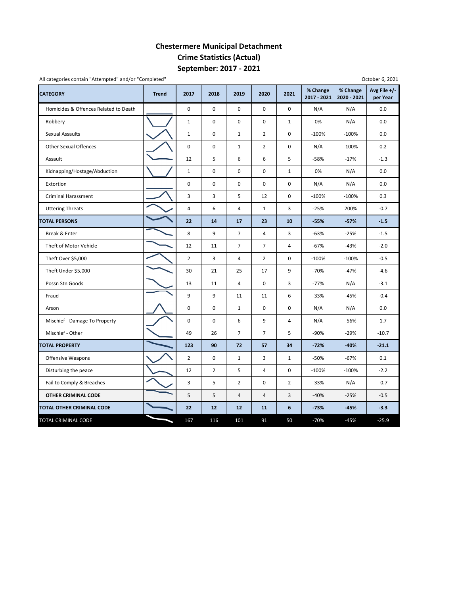## **September: 2017 ‐ 2021 Chestermere Municipal Detachment Crime Statistics (Actual)**

| <b>CATEGORY</b>                       | <b>Trend</b> | 2017           | 2018           | 2019           | 2020           | 2021           | % Change<br>2017 - 2021 | % Change<br>2020 - 2021 | Avg File $+/-$<br>per Year |
|---------------------------------------|--------------|----------------|----------------|----------------|----------------|----------------|-------------------------|-------------------------|----------------------------|
| Homicides & Offences Related to Death |              | $\mathbf 0$    | $\mathbf 0$    | $\mathbf 0$    | 0              | 0              | N/A                     | N/A                     | 0.0                        |
| Robbery                               |              | $\mathbf{1}$   | $\pmb{0}$      | $\pmb{0}$      | $\pmb{0}$      | $\mathbf{1}$   | 0%                      | N/A                     | 0.0                        |
| <b>Sexual Assaults</b>                |              | $\mathbf{1}$   | $\mathbf 0$    | $\mathbf{1}$   | $\overline{2}$ | $\mathbf 0$    | $-100%$                 | $-100%$                 | 0.0                        |
| <b>Other Sexual Offences</b>          |              | $\mathbf 0$    | $\mathbf 0$    | $\mathbf{1}$   | $\overline{2}$ | $\mathbf 0$    | N/A                     | $-100%$                 | 0.2                        |
| Assault                               |              | 12             | 5              | 6              | 6              | 5              | $-58%$                  | $-17%$                  | $-1.3$                     |
| Kidnapping/Hostage/Abduction          |              | $\mathbf{1}$   | 0              | $\pmb{0}$      | 0              | $\mathbf{1}$   | 0%                      | N/A                     | 0.0                        |
| Extortion                             |              | 0              | 0              | $\pmb{0}$      | 0              | 0              | N/A                     | N/A                     | 0.0                        |
| <b>Criminal Harassment</b>            |              | 3              | 3              | 5              | 12             | 0              | $-100%$                 | $-100%$                 | 0.3                        |
| <b>Uttering Threats</b>               |              | 4              | 6              | 4              | $\mathbf{1}$   | 3              | $-25%$                  | 200%                    | $-0.7$                     |
| <b>TOTAL PERSONS</b>                  |              | 22             | 14             | 17             | 23             | 10             | $-55%$                  | $-57%$                  | $-1.5$                     |
| Break & Enter                         |              | 8              | 9              | $\overline{7}$ | $\overline{4}$ | 3              | $-63%$                  | $-25%$                  | $-1.5$                     |
| Theft of Motor Vehicle                |              | 12             | 11             | $\overline{7}$ | $\overline{7}$ | $\overline{4}$ | $-67%$                  | $-43%$                  | $-2.0$                     |
| Theft Over \$5,000                    |              | $\overline{2}$ | 3              | 4              | $\overline{2}$ | 0              | $-100%$                 | $-100%$                 | $-0.5$                     |
| Theft Under \$5,000                   |              | 30             | 21             | 25             | 17             | 9              | $-70%$                  | $-47%$                  | $-4.6$                     |
| Possn Stn Goods                       |              | 13             | 11             | $\overline{4}$ | 0              | 3              | $-77%$                  | N/A                     | $-3.1$                     |
| Fraud                                 |              | 9              | 9              | 11             | 11             | 6              | $-33%$                  | $-45%$                  | $-0.4$                     |
| Arson                                 |              | $\mathsf 0$    | $\pmb{0}$      | $\mathbf 1$    | 0              | 0              | N/A                     | N/A                     | 0.0                        |
| Mischief - Damage To Property         |              | $\mathbf 0$    | $\mathbf 0$    | 6              | 9              | 4              | N/A                     | $-56%$                  | 1.7                        |
| Mischief - Other                      |              | 49             | 26             | $\overline{7}$ | $\overline{7}$ | 5              | $-90%$                  | $-29%$                  | $-10.7$                    |
| <b>TOTAL PROPERTY</b>                 |              | 123            | 90             | 72             | 57             | 34             | $-72%$                  | $-40%$                  | $-21.1$                    |
| Offensive Weapons                     |              | $\overline{2}$ | 0              | $\mathbf{1}$   | 3              | $\mathbf{1}$   | $-50%$                  | $-67%$                  | 0.1                        |
| Disturbing the peace                  |              | 12             | $\overline{2}$ | 5              | 4              | 0              | $-100%$                 | $-100%$                 | $-2.2$                     |
| Fail to Comply & Breaches             |              | 3              | 5              | $\overline{2}$ | 0              | $\overline{2}$ | $-33%$                  | N/A                     | $-0.7$                     |
| <b>OTHER CRIMINAL CODE</b>            |              | 5              | 5              | $\overline{4}$ | 4              | 3              | $-40%$                  | $-25%$                  | $-0.5$                     |
| TOTAL OTHER CRIMINAL CODE             |              | 22             | 12             | 12             | 11             | 6              | $-73%$                  | $-45%$                  | $-3.3$                     |
| TOTAL CRIMINAL CODE                   |              | 167            | 116            | 101            | 91             | 50             | $-70%$                  | $-45%$                  | $-25.9$                    |

All categories contain "Attempted" and/or "Completed"

October 6, 2021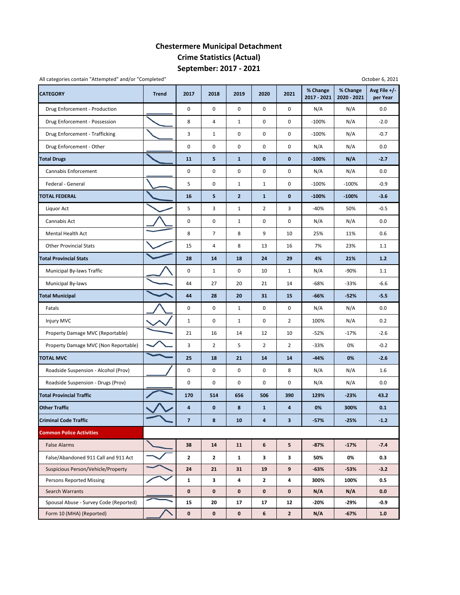## **September: 2017 ‐ 2021 Chestermere Municipal Detachment Crime Statistics (Actual)**

| An categories contain Attempted and/or completed |              |              |                |                |                |                |                         |                         | OCLODER U, LOLI            |
|--------------------------------------------------|--------------|--------------|----------------|----------------|----------------|----------------|-------------------------|-------------------------|----------------------------|
| <b>CATEGORY</b>                                  | <b>Trend</b> | 2017         | 2018           | 2019           | 2020           | 2021           | % Change<br>2017 - 2021 | % Change<br>2020 - 2021 | Avg File $+/-$<br>per Year |
| Drug Enforcement - Production                    |              | 0            | 0              | $\pmb{0}$      | 0              | $\mathbf 0$    | N/A                     | N/A                     | 0.0                        |
| Drug Enforcement - Possession                    |              | 8            | 4              | $\mathbf{1}$   | 0              | 0              | $-100%$                 | N/A                     | $-2.0$                     |
| Drug Enforcement - Trafficking                   |              | 3            | $\mathbf{1}$   | $\pmb{0}$      | 0              | 0              | $-100%$                 | N/A                     | $-0.7$                     |
| Drug Enforcement - Other                         |              | 0            | $\mathsf 0$    | $\pmb{0}$      | 0              | 0              | N/A                     | N/A                     | 0.0                        |
| <b>Total Drugs</b>                               |              | 11           | 5              | $\mathbf{1}$   | 0              | 0              | $-100%$                 | N/A                     | $-2.7$                     |
| Cannabis Enforcement                             |              | 0            | 0              | 0              | 0              | 0              | N/A                     | N/A                     | 0.0                        |
| Federal - General                                |              | 5            | 0              | $\mathbf 1$    | $\mathbf 1$    | 0              | $-100%$                 | $-100%$                 | $-0.9$                     |
| <b>TOTAL FEDERAL</b>                             |              | 16           | 5              | $\overline{2}$ | $\mathbf{1}$   | $\mathbf 0$    | $-100%$                 | $-100%$                 | $-3.6$                     |
| Liquor Act                                       |              | 5            | 3              | $\mathbf{1}$   | $\overline{2}$ | 3              | -40%                    | 50%                     | $-0.5$                     |
| Cannabis Act                                     |              | 0            | 0              | $\mathbf{1}$   | 0              | 0              | N/A                     | N/A                     | 0.0                        |
| Mental Health Act                                |              | 8            | $\overline{7}$ | 8              | 9              | 10             | 25%                     | 11%                     | 0.6                        |
| <b>Other Provincial Stats</b>                    |              | 15           | 4              | 8              | 13             | 16             | 7%                      | 23%                     | 1.1                        |
| <b>Total Provincial Stats</b>                    |              | 28           | 14             | 18             | 24             | 29             | 4%                      | 21%                     | 1.2                        |
| Municipal By-laws Traffic                        |              | 0            | $\mathbf{1}$   | 0              | 10             | $\mathbf{1}$   | N/A                     | -90%                    | 1.1                        |
| Municipal By-laws                                |              | 44           | 27             | 20             | 21             | 14             | -68%                    | $-33%$                  | $-6.6$                     |
| <b>Total Municipal</b>                           |              | 44           | 28             | 20             | 31             | 15             | $-66%$                  | $-52%$                  | $-5.5$                     |
| Fatals                                           |              | 0            | 0              | $\mathbf{1}$   | 0              | 0              | N/A                     | N/A                     | 0.0                        |
| Injury MVC                                       |              | $\mathbf{1}$ | 0              | $\mathbf{1}$   | 0              | 2              | 100%                    | N/A                     | 0.2                        |
| Property Damage MVC (Reportable)                 |              | 21           | 16             | 14             | 12             | 10             | $-52%$                  | $-17%$                  | $-2.6$                     |
| Property Damage MVC (Non Reportable)             |              | 3            | $\overline{2}$ | 5              | $\overline{2}$ | $\overline{2}$ | $-33%$                  | 0%                      | $-0.2$                     |
| <b>TOTAL MVC</b>                                 |              | 25           | 18             | 21             | 14             | 14             | $-44%$                  | 0%                      | $-2.6$                     |
| Roadside Suspension - Alcohol (Prov)             |              | 0            | $\mathsf 0$    | $\pmb{0}$      | 0              | 8              | N/A                     | N/A                     | 1.6                        |
| Roadside Suspension - Drugs (Prov)               |              | 0            | 0              | $\pmb{0}$      | 0              | 0              | N/A                     | N/A                     | 0.0                        |
| <b>Total Provincial Traffic</b>                  |              | 170          | 514            | 656            | 506            | 390            | 129%                    | $-23%$                  | 43.2                       |
| <b>Other Traffic</b>                             |              | 4            | $\pmb{0}$      | 8              | $\mathbf 1$    | 4              | 0%                      | 300%                    | 0.1                        |
| <b>Criminal Code Traffic</b>                     |              | 7            | 8              | 10             | 4              | 3              | $-57%$                  | $-25%$                  | $-1.2$                     |
| <b>Common Police Activities</b>                  |              |              |                |                |                |                |                         |                         |                            |
| <b>False Alarms</b>                              |              | 38           | 14             | 11             | 6              | 5              | $-87%$                  | $-17%$                  | $-7.4$                     |
| False/Abandoned 911 Call and 911 Act             |              | $\mathbf{2}$ | $\mathbf{2}$   | $\mathbf{1}$   | 3              | 3              | 50%                     | 0%                      | 0.3                        |
| Suspicious Person/Vehicle/Property               |              | 24           | 21             | 31             | 19             | 9              | $-63%$                  | $-53%$                  | $-3.2$                     |
| <b>Persons Reported Missing</b>                  |              | $\mathbf{1}$ | 3              | 4              | $\mathbf{2}$   | 4              | 300%                    | 100%                    | 0.5                        |
| Search Warrants                                  |              | 0            | $\mathbf 0$    | $\mathbf 0$    | $\bf{0}$       | $\mathbf 0$    | N/A                     | N/A                     | 0.0                        |
| Spousal Abuse - Survey Code (Reported)           |              | 15           | 20             | 17             | 17             | 12             | -20%                    | -29%                    | $-0.9$                     |
| Form 10 (MHA) (Reported)                         |              | 0            | 0              | $\mathbf 0$    | 6              | $\mathbf{2}$   | N/A                     | $-67%$                  | 1.0                        |

All categories contain "Attempted" and/or "Completed" October 6, 2021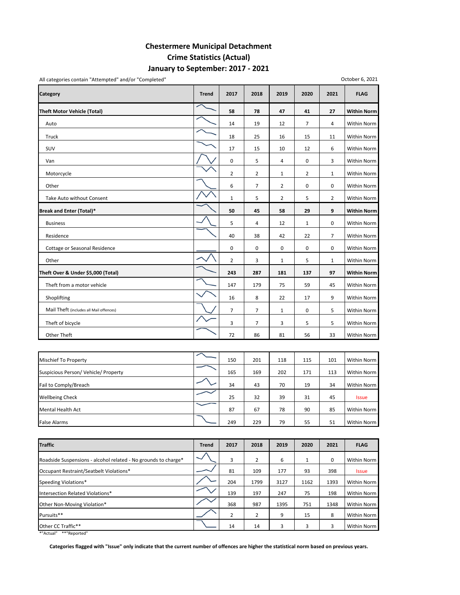### **January to September: 2017 ‐ 2021 Chestermere Municipal Detachment Crime Statistics (Actual)**

**Category Trend 2017 2018 2019 2020 2021 FLAG Theft Motor Vehicle (Total) 58 78 47 41 27 Within Norm** Auto 14 19 12 7 4 Within Norm Truck 18 25 16 15 11 Within Norm SUV 17 15 10 12 6 Within Norm Van 0 5 4 0 3 Within Norm Motorcycle 22121 Within Norm Other 6720 Mithin Norm 2011 12 Mithin Norm 2011 12 Mithin Norm 2012 12 Mithin Norm 2012 12 Mithin Norm 2012 12 Take Auto without Consent  $\begin{vmatrix} 1 & 1 & 2 & 3 \\ 2 & 1 & 5 & 2 \end{vmatrix}$  Within Norm **Break and Enter (Total)\* 50 45 58 29 9 Within Norm** Business 5 4 12 1 0 Within Norm Residence 40 38 42 22 7 Within Norm Cottage or Seasonal Residence **1996 Cottage or Seasonal Residence** 1000 Within Norm Other 23151 Within Norm **Theft Over & Under \$5,000 (Total) 243 287 181 137 97 Within Norm** Theft from a motor vehicle 147 147 179 179 175 59 45 Within Norm Shoplifting 16 8 22 17 9 Within Norm Mail Theft (includes all Mail offences)  $\begin{array}{|c|c|c|c|c|c|}\n\hline\n\diagup\big\downarrow\end{array}$  7  $\begin{array}{|c|c|c|c|c|c|}\n\jmath & 1 & 0 & 5\n\end{array}$  Within Norm Theft of bicycle 37355 Within Norm Other Theft 72 | 20 | 86 | 81 | 56 | 33 | Within Norm

| <b>Mischief To Property</b>          | 150 | 201 | 118 | 115 | 101 | Within Norm  |
|--------------------------------------|-----|-----|-----|-----|-----|--------------|
| Suspicious Person/ Vehicle/ Property | 165 | 169 | 202 | 171 | 113 | Within Norm  |
| Fail to Comply/Breach                | 34  | 43  | 70  | 19  | 34  | Within Norm  |
| <b>Wellbeing Check</b>               | 25  | 32  | 39  | 31  | 45  | <b>Issue</b> |
| Mental Health Act                    | 87  | 67  | 78  | 90  | 85  | Within Norm  |
| <b>False Alarms</b>                  | 249 | 229 | 79  | 55  | 51  | Within Norm  |

| <b>Traffic</b>                                                 | <b>Trend</b> | 2017 | 2018           | 2019 | 2020 | 2021 | <b>FLAG</b>  |
|----------------------------------------------------------------|--------------|------|----------------|------|------|------|--------------|
| Roadside Suspensions - alcohol related - No grounds to charge* |              | 3    | 2              | 6    |      | 0    | Within Norm  |
| Occupant Restraint/Seatbelt Violations*                        |              | 81   | 109            | 177  | 93   | 398  | <b>Issue</b> |
| Speeding Violations*                                           |              | 204  | 1799           | 3127 | 1162 | 1393 | Within Norm  |
| Intersection Related Violations*                               |              | 139  | 197            | 247  | 75   | 198  | Within Norm  |
| Other Non-Moving Violation*                                    |              | 368  | 987            | 1395 | 751  | 1348 | Within Norm  |
| Pursuits**                                                     |              | 2    | $\overline{2}$ | 9    | 15   | 8    | Within Norm  |
| Other CC Traffic**                                             |              | 14   | 14             |      |      | 3    | Within Norm  |

\*"Actual" \*\*"Reported"

Categories flagged with "Issue" only indicate that the current number of offences are higher the statistical norm based on previous years.

#### All categories contain "Attempted" and/or "Completed"

October 6, 2021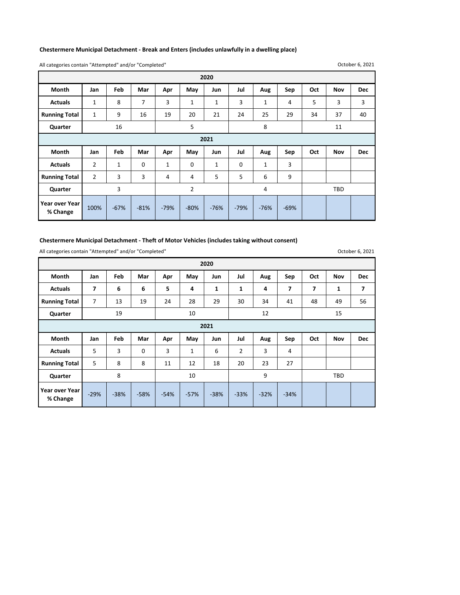#### **Chestermere Municipal Detachment ‐ Break and Enters (includes unlawfully in a dwelling place)**

All categories contain "Attempted" and/or "Completed"

October 6, 2021

| 2020                 |                |              |             |              |                |              |             |              |     |     |            |            |  |
|----------------------|----------------|--------------|-------------|--------------|----------------|--------------|-------------|--------------|-----|-----|------------|------------|--|
| Month                | Jan            | Feb          | Mar         | Apr          | May            | Jun          | Jul         | Aug          | Sep | Oct | <b>Nov</b> | <b>Dec</b> |  |
| <b>Actuals</b>       | $\mathbf{1}$   | 8            | 7           | 3            | $\mathbf 1$    | 1            | 3           | $\mathbf{1}$ | 4   | 5   | 3          | 3          |  |
| <b>Running Total</b> | $\mathbf{1}$   | 9            | 16          | 19           | 20             | 21           | 24          | 25           | 29  | 34  | 37         | 40         |  |
| Quarter              |                | 16           |             |              | 5              |              |             | 8            |     | 11  |            |            |  |
| 2021                 |                |              |             |              |                |              |             |              |     |     |            |            |  |
|                      |                |              |             |              |                |              |             |              |     |     |            |            |  |
| <b>Month</b>         | Jan            | Feb          | Mar         | Apr          | May            | Jun          | Jul         | Aug          | Sep | Oct | Nov        | <b>Dec</b> |  |
| <b>Actuals</b>       | $\overline{2}$ | $\mathbf{1}$ | $\mathbf 0$ | $\mathbf{1}$ | 0              | $\mathbf{1}$ | $\mathbf 0$ | $\mathbf{1}$ | 3   |     |            |            |  |
| <b>Running Total</b> | $\overline{2}$ | 3            | 3           | 4            | 4              | 5            | 5           | 6            | 9   |     |            |            |  |
| Quarter              |                | 3            |             |              | $\overline{2}$ |              |             | 4            |     |     | <b>TBD</b> |            |  |

#### **Chestermere Municipal Detachment ‐ Theft of Motor Vehicles (includes taking without consent)**

All categories contain "Attempted" and/or "Completed"

**Month Jan Feb Mar Apr May Jun Jul Aug Sep Oct Nov Dec** Actuals | 7 | 6 | 6 | 5 | 4 | 1 | 1 | 4 | 7 | 7 | 1 | 7 **Running Total** 7 13 19 24 28 29 30 34 41 48 49 56 **Quarter Month Jan Feb Mar Apr May Jun Jul Aug Sep Oct Nov Dec Actuals** | 5 | 3 | 0 | 3 | 1 | 6 | 2 | 3 | 4 **Running Total** 5 8 8 8 11 12 12 20 20 23 27 **Quarter** ‐38% ‐33% ‐32% ‐34% **Year over Year % Change** ‐29% ‐38% ‐58% ‐54% ‐57% **2021** 8 | 10 | 9 | TBD **2020** 19 10 12 12 15

October 6, 2021